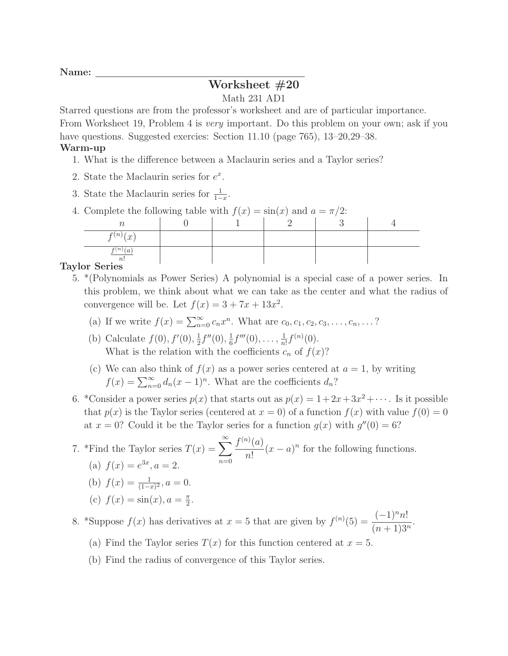# Worksheet #20

### Math 231 AD1

Starred questions are from the professor's worksheet and are of particular importance.

From Worksheet 19, Problem 4 is very important. Do this problem on your own; ask if you have questions. Suggested exercies: Section 11.10 (page 765), 13–20,29–38.

#### Warm-up

- 1. What is the difference between a Maclaurin series and a Taylor series?
- 2. State the Maclaurin series for  $e^x$ .
- 3. State the Maclaurin series for  $\frac{1}{1-x}$ .
- 4. Complete the following table with  $f(x) = \sin(x)$  and  $a = \pi/2$ :

| $f^{(n)}(x)$ |  |  |  |
|--------------|--|--|--|
| n!           |  |  |  |

## Taylor Series

- 5. \*(Polynomials as Power Series) A polynomial is a special case of a power series. In this problem, we think about what we can take as the center and what the radius of convergence will be. Let  $f(x) = 3 + 7x + 13x^2$ .
	- (a) If we write  $f(x) = \sum_{n=0}^{\infty} c_n x^n$ . What are  $c_0, c_1, c_2, c_3, \ldots, c_n, \ldots$ ?
	- (b) Calculate  $f(0), f'(0), \frac{1}{2}$  $\frac{1}{2}f''(0), \frac{1}{6}$  $\frac{1}{6}f'''(0), \ldots, \frac{1}{n}$  $\frac{1}{n!}f^{(n)}(0).$ What is the relation with the coefficients  $c_n$  of  $f(x)$ ?
	- (c) We can also think of  $f(x)$  as a power series centered at  $a = 1$ , by writing  $f(x) = \sum_{n=0}^{\infty} d_n (x-1)^n$ . What are the coefficients  $d_n$ ?
- 6. \*Consider a power series  $p(x)$  that starts out as  $p(x) = 1 + 2x + 3x^2 + \cdots$ . Is it possible that  $p(x)$  is the Taylor series (centered at  $x = 0$ ) of a function  $f(x)$  with value  $f(0) = 0$ at  $x = 0$ ? Could it be the Taylor series for a function  $g(x)$  with  $g''(0) = 6$ ?

#### 7. \*Find the Taylor series  $T(x) = \sum_{n=0}^{\infty}$  $n=0$  $f^{(n)}(a)$  $n!$  $(x - a)^n$  for the following functions. (a)  $f(x) = e^{3x}, a = 2.$ (b)  $f(x) = \frac{1}{(1-x)^2}$ ,  $a = 0$ .

(c)  $f(x) = \sin(x), a = \frac{\pi}{2}$  $\frac{\pi}{2}$ .

8. \*Suppose  $f(x)$  has derivatives at  $x = 5$  that are given by  $f^{(n)}(5) = \frac{(-1)^n n!}{(-1)^n (5+n)!}$  $\frac{(n+1)^{n}}{(n+1)3^n}.$ 

- (a) Find the Taylor series  $T(x)$  for this function centered at  $x = 5$ .
- (b) Find the radius of convergence of this Taylor series.